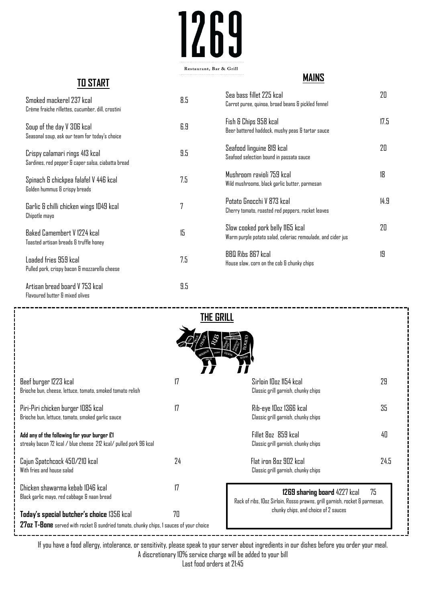# 1269 Restaurant, Bar & Grill

# **TO START**

## **MAINS**

| Smoked mackerel 237 kcal<br>Crème fraiche rillettes, cucumber, dill, crostini        | 8.5 | Sea bass fillet 225 kcal<br>Carrot puree, quinoa, broad beans & pickled fennel                  | 20   |
|--------------------------------------------------------------------------------------|-----|-------------------------------------------------------------------------------------------------|------|
| Soup of the day V 306 kcal<br>Seasonal soup, ask our team for today's choice         | 6.9 | Fish & Chips 958 kcal<br>Beer battered haddock, mushy peas & tartar sauce                       | 17.5 |
| Crispy calamari rings 413 kcal<br>Sardines, red pepper & caper salsa, ciabatta bread | 9.5 | Seafood linguine 819 kcal<br>Seafood selection bound in passata sauce                           | 20   |
| Spinach & chickpea falafel V 446 kcal<br>Golden hummus & crispy breads               | 7.5 | Mushroom ravioli 759 kcal<br>Wild mushrooms, black garlic butter, parmesan                      | 18   |
| Garlic & chilli chicken wings 1049 kcal<br>Chipotle mayo                             | 7   | Potato Gnocchi V 873 kcal<br>Cherry tomato, roasted red peppers, rocket leaves                  | 14.9 |
| Baked Camembert V 1224 kcal<br>Toasted artisan breads & truffle honey                | 15  | Slow cooked pork belly 1165 kcal<br>Warm purple potato salad, celeriac remoulade, and cider jus | 20   |
| Loaded fries 959 kcal<br>Pulled pork, crispy bacon & mozzarella cheese               | 7.5 | BBQ Ribs 867 kcal<br>House slaw, corn on the cob & chunky chips                                 | 19   |
| Artisan bread board V 753 kcal<br>Flavoured butter & mixed olives                    | 9.5 |                                                                                                 |      |

| <b>THE GRILL</b>                                                                                                                            |                 |                                                                                                                   |      |  |  |  |
|---------------------------------------------------------------------------------------------------------------------------------------------|-----------------|-------------------------------------------------------------------------------------------------------------------|------|--|--|--|
|                                                                                                                                             |                 |                                                                                                                   |      |  |  |  |
| Beef burger 1223 kcal<br>Brioche bun, cheese, lettuce, tomato, smoked tomato relish                                                         | $\overline{17}$ | Sirloin 10oz 1154 kcal<br>Classic grill garnish, chunky chips                                                     | 29   |  |  |  |
| Piri-Piri chicken burger 1085 kcal<br>Brioche bun, lettuce, tomato, smoked garlic sauce                                                     | $\overline{17}$ | Rib-eye 10oz 1366 kcal<br>Classic grill garnish, chunky chips                                                     | 35   |  |  |  |
| Add any of the following for your burger E1<br>streaky bacon 72 kcal / blue cheese 212 kcal/ pulled pork 96 kcal                            |                 | Fillet 8pz 859 kcal<br>Classic grill garnish, chunky chips                                                        | 40   |  |  |  |
| Cajun Spatchcock 450/210 kcal<br>With fries and house salad                                                                                 | 24              | Flat iron 8oz 902 kcal<br>Classic grill garnish, chunky chips                                                     | 24.5 |  |  |  |
| Chicken shawarma kebab 1046 kcal<br>Black garlic mayo, red cabbage & naan bread                                                             | 17              | 75<br>1269 sharing board 4227 kcal<br>Rack of ribs, IDoz Sirloin, Rosso prawns, grill garnish, rocket & parmesan, |      |  |  |  |
| 70<br>Today's special butcher's choice 1356 kcal<br>27oz T-Bone served with rocket & sundried tomato, chunky chips, I sauces of your choice |                 | chunky chips, and choice of 2 sauces                                                                              |      |  |  |  |

If you have a food allergy, intolerance, or sensitivity, please speak to your server about ingredients in our dishes before you order your meal. A discretionary 10% service charge will be added to your bill

Last food orders at 21:45